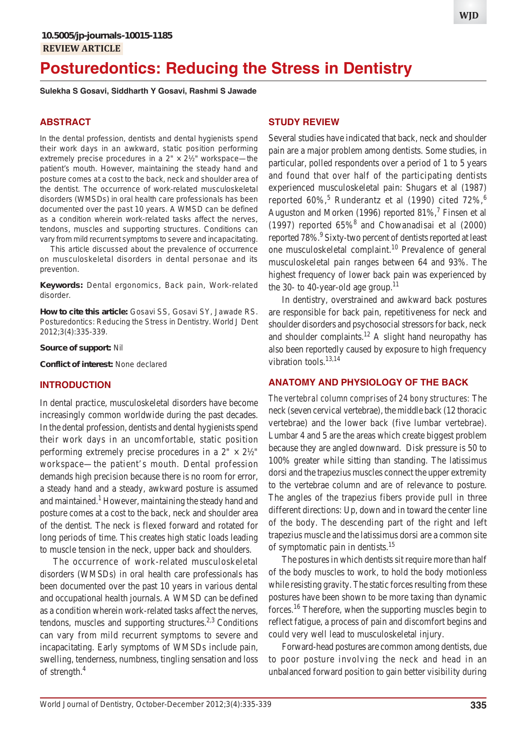**WJD**

# **Posturedontics: Reducing the Stress in Dentistry**

**Sulekha S Gosavi, Siddharth Y Gosavi, Rashmi S Jawade**

# **ABSTRACT**

In the dental profession, dentists and dental hygienists spend their work days in an awkward, static position performing extremely precise procedures in a  $2" \times 2\frac{1}{2}$ " workspace—the patient's mouth. However, maintaining the steady hand and posture comes at a cost to the back, neck and shoulder area of the dentist. The occurrence of work-related musculoskeletal disorders (WMSDs) in oral health care professionals has been documented over the past 10 years. A WMSD can be defined as a condition wherein work-related tasks affect the nerves, tendons, muscles and supporting structures. Conditions can vary from mild recurrent symptoms to severe and incapacitating.

This article discussed about the prevalence of occurrence on musculoskeletal disorders in dental personae and its prevention.

**Keywords:** Dental ergonomics, Back pain, Work-related disorder.

**How to cite this article:** Gosavi SS, Gosavi SY, Jawade RS. Posturedontics: Reducing the Stress in Dentistry. World J Dent 2012;3(4):335-339.

**Source of support:** Nil

**Conflict of interest:** None declared

### **INTRODUCTION**

In dental practice, musculoskeletal disorders have become increasingly common worldwide during the past decades. In the dental profession, dentists and dental hygienists spend their work days in an uncomfortable, static position performing extremely precise procedures in a  $2" \times 2\frac{1}{2}$ " workspace—the patient's mouth. Dental profession demands high precision because there is no room for error, a steady hand and a steady, awkward posture is assumed and maintained.<sup>1</sup> However, maintaining the steady hand and posture comes at a cost to the back, neck and shoulder area of the dentist. The neck is flexed forward and rotated for long periods of time. This creates high static loads leading to muscle tension in the neck, upper back and shoulders.

The occurrence of work-related musculoskeletal disorders (WMSDs) in oral health care professionals has been documented over the past 10 years in various dental and occupational health journals. A WMSD can be defined as a condition wherein work-related tasks affect the nerves, tendons, muscles and supporting structures.<sup>2,3</sup> Conditions can vary from mild recurrent symptoms to severe and incapacitating. Early symptoms of WMSDs include pain, swelling, tenderness, numbness, tingling sensation and loss of strength.4

## **STUDY REVIEW**

Several studies have indicated that back, neck and shoulder pain are a major problem among dentists. Some studies, in particular, polled respondents over a period of 1 to 5 years and found that over half of the participating dentists experienced musculoskeletal pain: Shugars et al (1987) reported 60%,<sup>5</sup> Runderantz et al (1990) cited 72%,<sup>6</sup> Auguston and Morken (1996) reported  $81\%$ , Finsen et al (1997) reported  $65\%$ <sup>8</sup> and Chowanadisai et al (2000) reported 78%.<sup>9</sup> Sixty-two percent of dentists reported at least one musculoskeletal complaint.<sup>10</sup> Prevalence of general musculoskeletal pain ranges between 64 and 93%. The highest frequency of lower back pain was experienced by the 30- to 40-year-old age group.<sup>11</sup>

In dentistry, overstrained and awkward back postures are responsible for back pain, repetitiveness for neck and shoulder disorders and psychosocial stressors for back, neck and shoulder complaints.<sup>12</sup> A slight hand neuropathy has also been reportedly caused by exposure to high frequency vibration tools. $13,14$ 

### **ANATOMY AND PHYSIOLOGY OF THE BACK**

*The vertebral column comprises of 24 bony structures:* The neck (seven cervical vertebrae), the middle back (12 thoracic vertebrae) and the lower back (five lumbar vertebrae). Lumbar 4 and 5 are the areas which create biggest problem because they are angled downward. Disk pressure is 50 to 100% greater while sitting than standing. The latissimus dorsi and the trapezius muscles connect the upper extremity to the vertebrae column and are of relevance to posture. The angles of the trapezius fibers provide pull in three different directions: Up, down and in toward the center line of the body. The descending part of the right and left trapezius muscle and the latissimus dorsi are a common site of symptomatic pain in dentists.<sup>15</sup>

The postures in which dentists sit require more than half of the body muscles to work, to hold the body motionless while resisting gravity. The static forces resulting from these postures have been shown to be more taxing than dynamic forces.16 Therefore, when the supporting muscles begin to reflect fatigue, a process of pain and discomfort begins and could very well lead to musculoskeletal injury.

Forward-head postures are common among dentists, due to poor posture involving the neck and head in an unbalanced forward position to gain better visibility during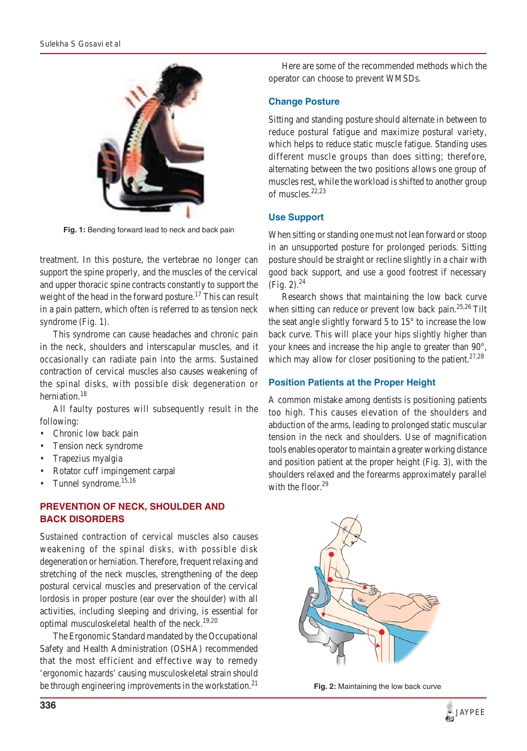

**Fig. 1:** Bending forward lead to neck and back pain

treatment. In this posture, the vertebrae no longer can support the spine properly, and the muscles of the cervical and upper thoracic spine contracts constantly to support the weight of the head in the forward posture.<sup>17</sup> This can result in a pain pattern, which often is referred to as tension neck syndrome (Fig. 1).

This syndrome can cause headaches and chronic pain in the neck, shoulders and interscapular muscles, and it occasionally can radiate pain into the arms. Sustained contraction of cervical muscles also causes weakening of the spinal disks, with possible disk degeneration or herniation.<sup>18</sup>

All faulty postures will subsequently result in the following:

- Chronic low back pain
- Tension neck syndrome
- Trapezius myalgia
- Rotator cuff impingement carpal
- Tunnel syndrome.<sup>15,16</sup>

## **PREVENTION OF NECK, SHOULDER AND BACK DISORDERS**

Sustained contraction of cervical muscles also causes weakening of the spinal disks, with possible disk degeneration or herniation. Therefore, frequent relaxing and stretching of the neck muscles, strengthening of the deep postural cervical muscles and preservation of the cervical lordosis in proper posture (ear over the shoulder) with all activities, including sleeping and driving, is essential for optimal musculoskeletal health of the neck.19,20

The Ergonomic Standard mandated by the Occupational Safety and Health Administration (OSHA) recommended that the most efficient and effective way to remedy 'ergonomic hazards' causing musculoskeletal strain should be through engineering improvements in the workstation.<sup>21</sup>

Here are some of the recommended methods which the operator can choose to prevent WMSDs.

#### **Change Posture**

Sitting and standing posture should alternate in between to reduce postural fatigue and maximize postural variety, which helps to reduce static muscle fatigue. Standing uses different muscle groups than does sitting; therefore, alternating between the two positions allows one group of muscles rest, while the workload is shifted to another group of muscles.22,23

#### **Use Support**

When sitting or standing one must not lean forward or stoop in an unsupported posture for prolonged periods. Sitting posture should be straight or recline slightly in a chair with good back support, and use a good footrest if necessary  $(Fig. 2).^{24}$ 

Research shows that maintaining the low back curve when sitting can reduce or prevent low back pain.<sup>25,26</sup> Tilt the seat angle slightly forward 5 to 15° to increase the low back curve. This will place your hips slightly higher than your knees and increase the hip angle to greater than 90°, which may allow for closer positioning to the patient.<sup>27,28</sup>

#### **Position Patients at the Proper Height**

A common mistake among dentists is positioning patients too high. This causes elevation of the shoulders and abduction of the arms, leading to prolonged static muscular tension in the neck and shoulders. Use of magnification tools enables operator to maintain a greater working distance and position patient at the proper height (Fig. 3), with the shoulders relaxed and the forearms approximately parallel with the floor. $29$ 



**Fig. 2:** Maintaining the low back curve

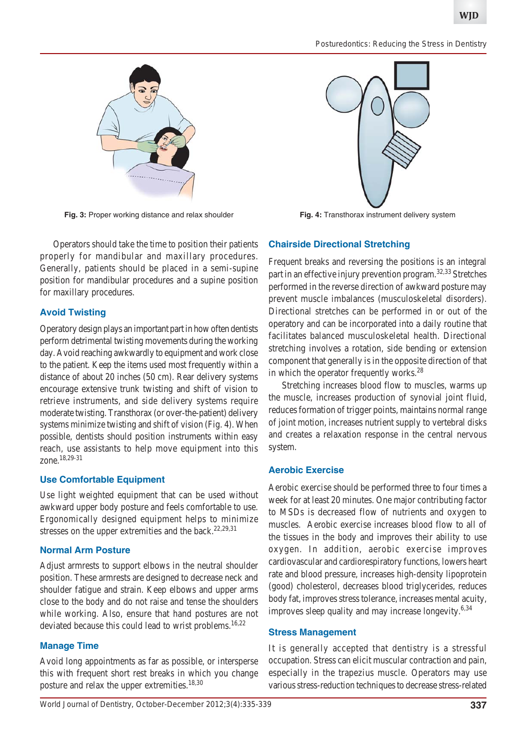*Posturedontics: Reducing the Stress in Dentistry*



**Fig. 3:** Proper working distance and relax shoulder **Fig. 4:** Transthorax instrument delivery system

Operators should take the time to position their patients properly for mandibular and maxillary procedures. Generally, patients should be placed in a semi-supine position for mandibular procedures and a supine position for maxillary procedures.

# **Avoid Twisting**

Operatory design plays an important part in how often dentists perform detrimental twisting movements during the working day. Avoid reaching awkwardly to equipment and work close to the patient. Keep the items used most frequently within a distance of about 20 inches (50 cm). Rear delivery systems encourage extensive trunk twisting and shift of vision to retrieve instruments, and side delivery systems require moderate twisting. Transthorax (or over-the-patient) delivery systems minimize twisting and shift of vision (Fig. 4). When possible, dentists should position instruments within easy reach, use assistants to help move equipment into this zone.18,29-31

### **Use Comfortable Equipment**

Use light weighted equipment that can be used without awkward upper body posture and feels comfortable to use. Ergonomically designed equipment helps to minimize stresses on the upper extremities and the back.<sup>22,29,31</sup>

# **Normal Arm Posture**

Adjust armrests to support elbows in the neutral shoulder position. These armrests are designed to decrease neck and shoulder fatigue and strain. Keep elbows and upper arms close to the body and do not raise and tense the shoulders while working. Also, ensure that hand postures are not deviated because this could lead to wrist problems.<sup>16,22</sup>

# **Manage Time**

Avoid long appointments as far as possible, or intersperse this with frequent short rest breaks in which you change posture and relax the upper extremities.<sup>18,30</sup>



# **Chairside Directional Stretching**

Frequent breaks and reversing the positions is an integral part in an effective injury prevention program.<sup>32,33</sup> Stretches performed in the reverse direction of awkward posture may prevent muscle imbalances (musculoskeletal disorders). Directional stretches can be performed in or out of the operatory and can be incorporated into a daily routine that facilitates balanced musculoskeletal health. Directional stretching involves a rotation, side bending or extension component that generally is in the opposite direction of that in which the operator frequently works. $^{28}$ 

Stretching increases blood flow to muscles, warms up the muscle, increases production of synovial joint fluid, reduces formation of trigger points, maintains normal range of joint motion, increases nutrient supply to vertebral disks and creates a relaxation response in the central nervous system.

# **Aerobic Exercise**

Aerobic exercise should be performed three to four times a week for at least 20 minutes. One major contributing factor to MSDs is decreased flow of nutrients and oxygen to muscles. Aerobic exercise increases blood flow to all of the tissues in the body and improves their ability to use oxygen. In addition, aerobic exercise improves cardiovascular and cardiorespiratory functions, lowers heart rate and blood pressure, increases high-density lipoprotein (good) cholesterol, decreases blood triglycerides, reduces body fat, improves stress tolerance, increases mental acuity, improves sleep quality and may increase longevity.<sup>6,34</sup>

### **Stress Management**

It is generally accepted that dentistry is a stressful occupation. Stress can elicit muscular contraction and pain, especially in the trapezius muscle. Operators may use various stress-reduction techniques to decrease stress-related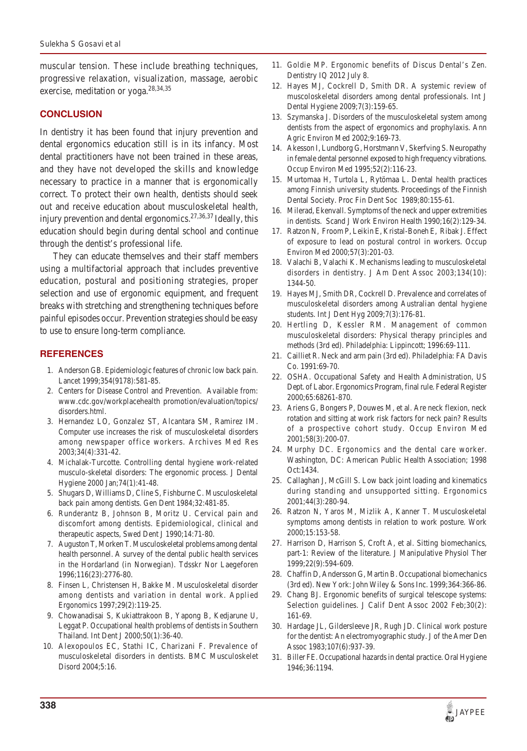muscular tension. These include breathing techniques, progressive relaxation, visualization, massage, aerobic exercise, meditation or yoga. $28,34,35$ 

#### **CONCLUSION**

In dentistry it has been found that injury prevention and dental ergonomics education still is in its infancy. Most dental practitioners have not been trained in these areas, and they have not developed the skills and knowledge necessary to practice in a manner that is ergonomically correct. To protect their own health, dentists should seek out and receive education about musculoskeletal health, injury prevention and dental ergonomics.<sup>27,36,37</sup> Ideally, this education should begin during dental school and continue through the dentist's professional life.

They can educate themselves and their staff members using a multifactorial approach that includes preventive education, postural and positioning strategies, proper selection and use of ergonomic equipment, and frequent breaks with stretching and strengthening techniques before painful episodes occur. Prevention strategies should be easy to use to ensure long-term compliance.

#### **REFERENCES**

- 1. Anderson GB. Epidemiologic features of chronic low back pain. Lancet 1999;354(9178):581-85.
- 2. Centers for Disease Control and Prevention. Available from: www.cdc.gov/workplacehealth promotion/evaluation/topics/ disorders.html.
- 3. Hernandez LO, Gonzalez ST, Alcantara SM, Ramirez IM. Computer use increases the risk of musculoskeletal disorders among newspaper office workers. Archives Med Res 2003;34(4):331-42.
- 4. Michalak-Turcotte. Controlling dental hygiene work-related musculo-skeletal disorders: The ergonomic process. J Dental Hygiene 2000 Jan;74(1):41-48.
- 5. Shugars D, Williams D, Cline S, Fishburne C. Musculoskeletal back pain among dentists. Gen Dent 1984;32:481-85.
- 6. Runderantz B, Johnson B, Moritz U. Cervical pain and discomfort among dentists. Epidemiological, clinical and therapeutic aspects, Swed Dent J 1990;14:71-80.
- 7. Auguston T, Morken T. Musculoskeletal problems among dental health personnel. A survey of the dental public health services in the Hordarland (in Norwegian). Tdsskr Nor Laegeforen 1996;116(23):2776-80.
- 8. Finsen L, Christensen H, Bakke M. Musculoskeletal disorder among dentists and variation in dental work. Applied Ergonomics 1997;29(2):119-25.
- 9. Chowanadisai S, Kukiattrakoon B, Yapong B, Kedjarune U, Leggat P. Occupational health problems of dentists in Southern Thailand. Int Dent J 2000;50(1):36-40.
- 10. Alexopoulos EC, Stathi IC, Charizani F. Prevalence of musculoskeletal disorders in dentists. BMC Musculoskelet Disord 2004;5:16.
- 11. Goldie MP. Ergonomic benefits of Discus Dental's Zen. Dentistry IQ 2012 July 8.
- 12. Hayes MJ, Cockrell D, Smith DR. A systemic review of muscoloskeletal disorders among dental professionals. Int J Dental Hygiene 2009;7(3):159-65.
- 13. Szymanska J. Disorders of the musculoskeletal system among dentists from the aspect of ergonomics and prophylaxis. Ann Agric Environ Med 2002;9:169-73.
- 14. Akesson I, Lundborg G, Horstmann V, Skerfving S. Neuropathy in female dental personnel exposed to high frequency vibrations. Occup Environ Med 1995;52(2):116-23.
- 15. Murtomaa H, Turtola L, Rytömaa L. Dental health practices among Finnish university students. Proceedings of the Finnish Dental Society. Proc Fin Dent Soc 1989;80:155-61.
- 16. Milerad, Ekenvall. Symptoms of the neck and upper extremities in dentists. Scand J Work Environ Health 1990;16(2):129-34.
- 17. Ratzon N, Froom P, Leikin E, Kristal-Boneh E, Ribak J. Effect of exposure to lead on postural control in workers. Occup Environ Med 2000;57(3):201-03.
- 18. Valachi B, Valachi K. Mechanisms leading to musculoskeletal disorders in dentistry. J Am Dent Assoc 2003;134(10): 1344-50.
- 19. Hayes MJ, Smith DR, Cockrell D. Prevalence and correlates of musculoskeletal disorders among Australian dental hygiene students. Int J Dent Hyg 2009;7(3):176-81.
- 20. Hertling D, Kessler RM. Management of common musculoskeletal disorders: Physical therapy principles and methods (3rd ed). Philadelphia: Lippincott; 1996:69-111.
- 21. Cailliet R. Neck and arm pain (3rd ed). Philadelphia: FA Davis Co. 1991:69-70.
- 22. OSHA. Occupational Safety and Health Administration, US Dept. of Labor. Ergonomics Program, final rule. Federal Register 2000;65:68261-870.
- 23. Ariens G, Bongers P, Douwes M, et al. Are neck flexion, neck rotation and sitting at work risk factors for neck pain? Results of a prospective cohort study. Occup Environ Med 2001;58(3):200-07.
- 24. Murphy DC. Ergonomics and the dental care worker. Washington, DC: American Public Health Association; 1998 Oct:1434.
- 25. Callaghan J, McGill S. Low back joint loading and kinematics during standing and unsupported sitting. Ergonomics 2001;44(3):280-94.
- 26. Ratzon N, Yaros M, Mizlik A, Kanner T. Musculoskeletal symptoms among dentists in relation to work posture. Work 2000;15:153-58.
- 27. Harrison D, Harrison S, Croft A, et al. Sitting biomechanics, part-1: Review of the literature. J Manipulative Physiol Ther 1999;22(9):594-609.
- 28. Chaffin D, Andersson G, Martin B. Occupational biomechanics (3rd ed). New York: John Wiley & Sons Inc. 1999;364:366-86.
- 29. Chang BJ. Ergonomic benefits of surgical telescope systems: Selection guidelines. J Calif Dent Assoc 2002 Feb;30(2): 161-69.
- 30. Hardage JL, Gildersleeve JR, Rugh JD. Clinical work posture for the dentist: An electromyographic study. J of the Amer Den Assoc 1983;107(6):937-39.
- 31. Biller FE. Occupational hazards in dental practice. Oral Hygiene 1946;36:1194.